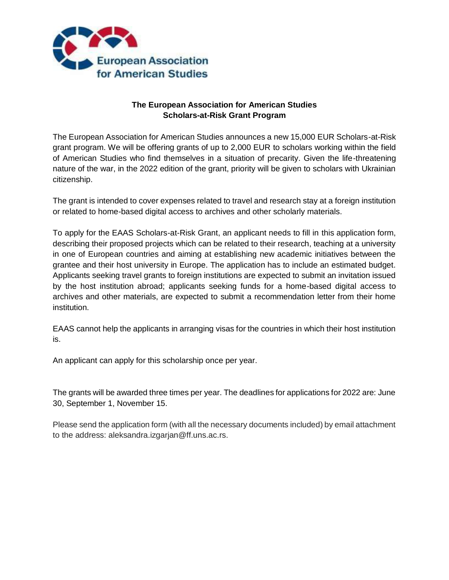

# **The European Association for American Studies Scholars-at-Risk Grant Program**

The European Association for American Studies announces a new 15,000 EUR Scholars-at-Risk grant program. We will be offering grants of up to 2,000 EUR to scholars working within the field of American Studies who find themselves in a situation of precarity. Given the life-threatening nature of the war, in the 2022 edition of the grant, priority will be given to scholars with Ukrainian citizenship.

The grant is intended to cover expenses related to travel and research stay at a foreign institution or related to home-based digital access to archives and other scholarly materials.

To apply for the EAAS Scholars-at-Risk Grant, an applicant needs to fill in this application form, describing their proposed projects which can be related to their research, teaching at a university in one of European countries and aiming at establishing new academic initiatives between the grantee and their host university in Europe. The application has to include an estimated budget. Applicants seeking travel grants to foreign institutions are expected to submit an invitation issued by the host institution abroad; applicants seeking funds for a home-based digital access to archives and other materials, are expected to submit a recommendation letter from their home institution.

EAAS cannot help the applicants in arranging visas for the countries in which their host institution is.

An applicant can apply for this scholarship once per year.

The grants will be awarded three times per year. The deadlines for applications for 2022 are: June 30, September 1, November 15.

Please send the application form (with all the necessary documents included) by email attachment to the address: aleksandra.izgarjan@ff.uns.ac.rs.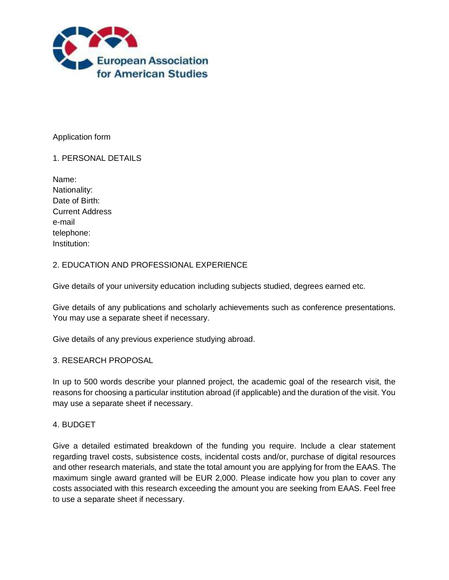

#### Application form

### 1. PERSONAL DETAILS

Name: Nationality: Date of Birth: Current Address e-mail telephone: Institution:

#### 2. EDUCATION AND PROFESSIONAL EXPERIENCE

Give details of your university education including subjects studied, degrees earned etc.

Give details of any publications and scholarly achievements such as conference presentations. You may use a separate sheet if necessary.

Give details of any previous experience studying abroad.

#### 3. RESEARCH PROPOSAL

In up to 500 words describe your planned project, the academic goal of the research visit, the reasons for choosing a particular institution abroad (if applicable) and the duration of the visit. You may use a separate sheet if necessary.

#### 4. BUDGET

Give a detailed estimated breakdown of the funding you require. Include a clear statement regarding travel costs, subsistence costs, incidental costs and/or, purchase of digital resources and other research materials, and state the total amount you are applying for from the EAAS. The maximum single award granted will be EUR 2,000. Please indicate how you plan to cover any costs associated with this research exceeding the amount you are seeking from EAAS. Feel free to use a separate sheet if necessary.